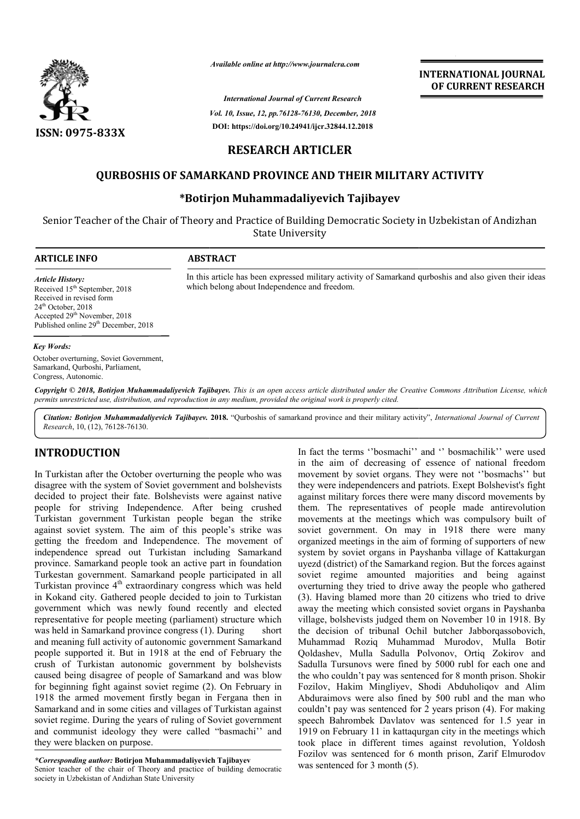

*Available online at http://www.journalcra.com*

*Vol. 10, Issue, 12, pp.76128-76130, December, 2018 International Journal of Current Research* **DOI: https://doi.org/10.24941/ijcr.32844.12.2018**

**INTERNATIONAL JOURNAL OF CURRENT RESEARCH**

# **RESEARCH ARTICLER**

## **QURBOSHIS OF SAMARKAND PROVINCE AND THEIR MILITARY ACTIVITY**

# **\*Botirjon Muhammadaliyevich Tajibayev Botirjon**

Senior Teacher of the Chair of Theory and Practice of Building Democratic Society in Uzbekistan of Andizhan State University

### **ARTICLE INFO ABSTRACT**

In this article has been expressed military activity of Samarkand qurboshis and also given their ideas which belong about Independence and freedom.

*Article History:* Received 15<sup>th</sup> September, 2018 Received in revised form 24<sup>th</sup> October, 2018 Accepted 29<sup>th</sup> November, 2018 Published online 29<sup>th</sup> December, 2018

### *Key Words:*

October overturning, Soviet Government, Samarkand, Qurboshi, Parliament, Congress, Autonomic.

Copyright © 2018, Botirjon Muhammadaliyevich Tajibayev. This is an open access article distributed under the Creative Commons Attribution License, which permits unrestricted use, distribution, and reproduction in any medium, provided the original work is properly cited.

Citation: Botirjon Muhammadaliyevich Tajibayev. 2018. "Qurboshis of samarkand province and their military activity", *International Journal of Current Research*, 10, (12), 76128-76130.

## **INTRODUCTION**

In Turkistan after the October overturning the people who was disagree with the system of Soviet government and bolshevists decided to project their fate. Bolshevists were against native people for striving Independence. After being crushed Turkistan government Turkistan people began the strike against soviet system. The aim of this people's strike was getting the freedom and Independence. The movement of independence spread out Turkistan including Samarkand province. Samarkand people took an active part in foundation Turkestan government. Samarkand people participated in all Turkistan province 4<sup>th</sup> extraordinary congress which was held in Kokand city. Gathered people decided to join to Turkistan government which was newly found recently and elected representative for people meeting (parliament) structure which was held in Samarkand province congress (1). During short and meaning full activity of autonomic government Samarkand people supported it. But in 1918 at the end of February the crush of Turkistan autonomic government by bolshevists caused being disagree of people of Samarkand and was blow for beginning fight against soviet regime (2). On February in 1918 the armed movement firstly began in Fergana then in Samarkand and in some cities and villages of Turkistan against soviet regime. During the years of ruling of Soviet government and communist ideology they were called "basmachi'' and they were blacken on purpose. dependence spread out Turkistan including Samarkand<br>ovince. Samarkand people took an active part in foundation<br>urkestan government. Samarkand people participated in all<br>urkistan province 4<sup>th</sup> extraordinary congress which ernment Samarkand<br>ent by bolshevists<br>kand and was blow<br>(2). On February in IRODUCTION In fact the terms '' bosmachilik'' and '' bosmachilik'' and '' bosmachilik'' and '' bosmachilik'' and '' bosmachilik'' and '' bosmachilik'' and the same of Soviet dependences and patricials are more of mational

*\*Corresponding author:* **Botirjon Muhammadaliyevich Tajibayev** Senior teacher of the chair of Theory and practice of building democratic society in Uzbekistan of Andizhan State University

in the aim of decreasing of essence of national freedom movement by soviet organs. They were not ''bosmachs'' but they were independencers and patriots. Exept Bolshevist's fight against military forces there were many discord movements by them. The representatives of people made antirevolution movements at the meetings which was compulsory built of soviet government. On may in 1918 there were many organized meetings in the aim of forming of supporters of new against military forces there were many discord movements by<br>them. The representatives of people made antirevolution<br>movements at the meetings which was compulsory built of<br>soviet government. On may in 1918 there were many uyezd (district) of the Samarkand region. But the forces against soviet regime amounted majorities and being against overturning they tried to drive away the people who gathered (3). Having blamed more than 20 citizens who tried to dr away the meeting which consisted soviet organs in Payshanba village, bolshevists judged them on November 10 in 1918. By the decision of tribunal Ochil Muhammad Roziq Muhammad Murodov, Mulla Botir Qoldashev, Mulla Sadulla Polv Roziq Sadulla Polvonov, Ortiq Zokirov and Sadulla Tursunovs were fined by 5000 rubl for each one and the who couldn't pay was sentenced for 8 month prison. Shokir Fozilov, Hakim Mingliyev, Shodi Abduholiqov and Alim Abduraimovs were also fined by 500 rubl and the man who couldn't pay was sentenced for 2 years prison (4). For making speech Bahrombek Davlatov was sentenced for 1.5 year in 1919 on February 11 in kattaqurgan city in the meetings which took place in different times against revolution, Yoldosh Fozilov was sentenced for 6 month prison, Zarif Elmurodov was sentenced for 3 month (5). In fact the terms "bosmachi" and " bosmachilik" were used ezd (district) of the Samarkand region. But the forces against<br>viet regime amounted majorities and being against<br>erturning they tried to drive away the people who gathered<br>. Having blamed more than 20 citizens who tried to away the meeting which consisted soviet organs in Payshanba village, bolshevists judged them on November 10 in 1918. By the decision of tribunal Ochil butcher Jabborqassobovich, Fozilov, Hakim Mingliyev, Shodi Abduholiqov and Alim<br>Abduraimovs were also fined by 500 rubl and the man who<br>couldn't pay was sentenced for 2 years prison (4). For making INTERNATIONAL JOURNAL<br>
OF CURRENT RESEARCH<br>
OF CURRENT RESEARCH<br>
OF CURRENT RESEARCH<br>
Note<br>
Yore<br>
Yore<br>
Yore<br>
Yore<br>
Yore<br>
Yore<br>
Yore<br>
Yore<br>
International also given their ideas<br>
Transmarkand qurboshis and also given their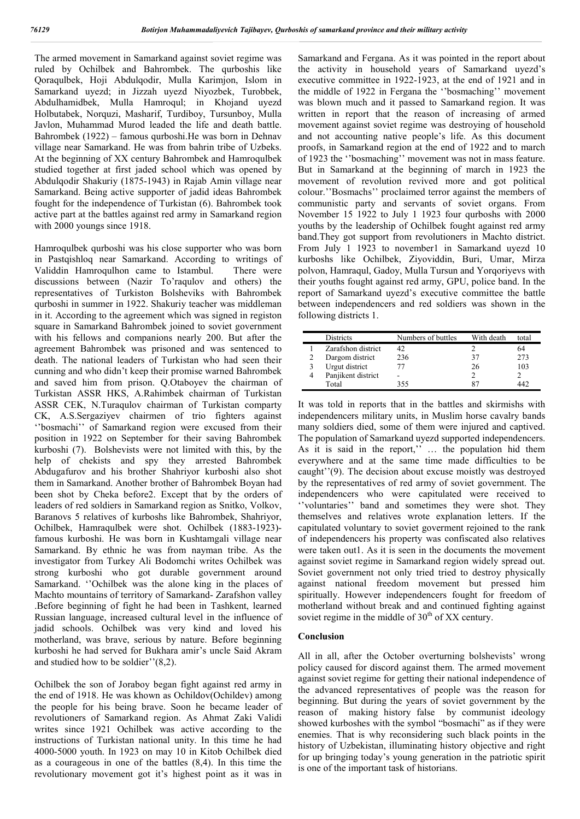The armed movement in Samarkand against soviet regime was ruled by Ochilbek and Bahrombek. The qurboshis like Qoraqulbek, Hoji Abdulqodir, Mulla Karimjon, Islom in Samarkand uyezd; in Jizzah uyezd Niyozbek, Turobbek, Abdulhamidbek, Mulla Hamroqul; in Khojand uyezd Holbutabek, Norquzi, Masharif, Turdiboy, Tursunboy, Mulla Javlon, Muhammad Murod leaded the life and death battle. Bahrombek (1922) – famous qurboshi.He was born in Dehnav village near Samarkand. He was from bahrin tribe of Uzbeks. At the beginning of XX century Bahrombek and Hamroqulbek studied together at first jaded school which was opened by Abdulqodir Shakuriy (1875-1943) in Rajab Amin village near Samarkand. Being active supporter of jadid ideas Bahrombek fought for the independence of Turkistan (6). Bahrombek took active part at the battles against red army in Samarkand region with 2000 youngs since 1918.

Hamroqulbek qurboshi was his close supporter who was born in Pastqishloq near Samarkand. According to writings of Validdin Hamroqulhon came to Istambul. There were discussions between (Nazir To'raqulov and others) the representatives of Turkiston Bolsheviks with Bahrombek qurboshi in summer in 1922. Shakuriy teacher was middleman in it. According to the agreement which was signed in registon square in Samarkand Bahrombek joined to soviet government with his fellows and companions nearly 200. But after the agreement Bahrombek was prisoned and was sentenced to death. The national leaders of Turkistan who had seen their cunning and who didn't keep their promise warned Bahrombek and saved him from prison. Q.Otaboyev the chairman of Turkistan ASSR HKS, A.Rahimbek chairman of Turkistan ASSR CEK, N.Turaqulov chairman of Turkistan comparty CK, A.S.Sergaziyev chairmen of trio fighters against ''bosmachi'' of Samarkand region were excused from their position in 1922 on September for their saving Bahrombek kurboshi (7). Bolshevists were not limited with this, by the help of chekists and spy they arrested Bahrombek Abdugafurov and his brother Shahriyor kurboshi also shot them in Samarkand. Another brother of Bahrombek Boyan had been shot by Cheka before2. Except that by the orders of leaders of red soldiers in Samarkand region as Snitko, Volkov, Baranovs 5 relatives of kurboshs like Bahrombek, Shahriyor, Ochilbek, Hamraqulbek were shot. Ochilbek (1883-1923) famous kurboshi. He was born in Kushtamgali village near Samarkand. By ethnic he was from nayman tribe. As the investigator from Turkey Ali Bodomchi writes Ochilbek was strong kurboshi who got durable government around Samarkand. ''Ochilbek was the alone king in the places of Machto mountains of territory of Samarkand- Zarafshon valley .Before beginning of fight he had been in Tashkent, learned Russian language, increased cultural level in the influence of jadid schools. Ochilbek was very kind and loved his motherland, was brave, serious by nature. Before beginning kurboshi he had served for Bukhara amir's uncle Said Akram and studied how to be soldier''(8,2).

Ochilbek the son of Joraboy began fight against red army in the end of 1918. He was khown as Ochildov(Ochildev) among the people for his being brave. Soon he became leader of revolutioners of Samarkand region. As Ahmat Zaki Validi writes since 1921 Ochilbek was active according to the instructions of Turkistan national unity. In this time he had 4000-5000 youth. In 1923 on may 10 in Kitob Ochilbek died as a courageous in one of the battles (8,4). In this time the revolutionary movement got it's highest point as it was in

Samarkand and Fergana. As it was pointed in the report about the activity in household years of Samarkand uyezd's executive committee in 1922-1923, at the end of 1921 and in the middle of 1922 in Fergana the ''bosmaching'' movement was blown much and it passed to Samarkand region. It was written in report that the reason of increasing of armed movement against soviet regime was destroying of household and not accounting native people's life. As this document proofs, in Samarkand region at the end of 1922 and to march of 1923 the ''bosmaching'' movement was not in mass feature. But in Samarkand at the beginning of march in 1923 the movement of revolution revived more and got political colour.''Bosmachs'' proclaimed terror against the members of communistic party and servants of soviet organs. From November 15 1922 to July 1 1923 four qurboshs with 2000 youths by the leadership of Ochilbek fought against red army band.They got support from revolutioners in Machto district. From July 1 1923 to november1 in Samarkand uyezd 10 kurboshs like Ochilbek, Ziyoviddin, Buri, Umar, Mirza polvon, Hamraqul, Gadoy, Mulla Tursun and Yorqoriyevs with their youths fought against red army, GPU, police band. In the report of Samarkand uyezd's executive committee the battle between independencers and red soldiers was shown in the following districts 1.

| <b>Districts</b>   | Numbers of buttles | With death | total |
|--------------------|--------------------|------------|-------|
| Zarafshon district | 42                 |            | 64    |
| Dargom district    | 236                | 37         | 273   |
| Urgut district     |                    | 26         | 103   |
| Panjikent district |                    |            |       |
| Total              | 355                |            |       |

It was told in reports that in the battles and skirmishs with independencers military units, in Muslim horse cavalry bands many soldiers died, some of them were injured and captived. The population of Samarkand uyezd supported independencers. As it is said in the report,'' … the population hid them everywhere and at the same time made difficulties to be caught''(9). The decision about excuse moistly was destroyed by the representatives of red army of soviet government. The independencers who were capitulated were received to ''voluntaries'' band and sometimes they were shot. They themselves and relatives wrote explanation letters. If the capitulated voluntary to soviet goverment rejoined to the rank of independencers his property was confiscated also relatives were taken out1. As it is seen in the documents the movement against soviet regime in Samarkand region widely spread out. Soviet government not only tried tried to destroy physically against national freedom movement but pressed him spiritually. However independencers fought for freedom of motherland without break and and continued fighting against soviet regime in the middle of  $30<sup>th</sup>$  of XX century.

### **Conclusion**

All in all, after the October overturning bolshevists' wrong policy caused for discord against them. The armed movement against soviet regime for getting their national independence of the advanced representatives of people was the reason for beginning. But during the years of soviet government by the reason of making history false by communist ideology showed kurboshes with the symbol "bosmachi" as if they were enemies. That is why reconsidering such black points in the history of Uzbekistan, illuminating history objective and right for up bringing today's young generation in the patriotic spirit is one of the important task of historians.